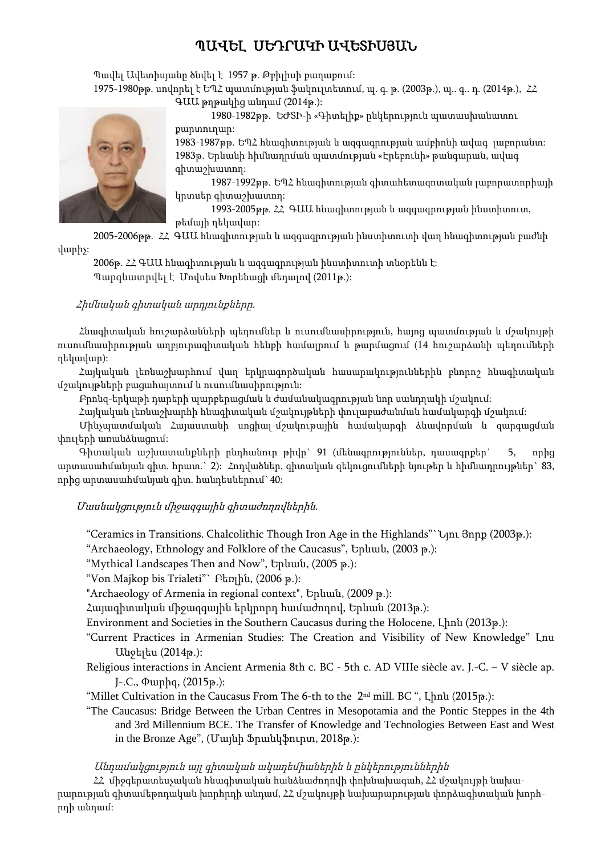# ՊԱՎԵԼ ՍԵԴՐԱԿԻ ԱՎԵՏԻՍՅԱՆ

Պավել Ավետիսյանը ծնվել է 1957 թ. Թբիլիսի քաղաքում: 1975-1980թթ. սովորել է ԵՊՀ պատմության ֆակուլտետում, պ. գ. թ. (2003թ.), պ. գ.. դ. (2014թ.),  $\angle Z$ ԳԱԱ թղթակից անդամ (2014թ.):

> 1980-1982թթ. ԵԺՏԻ-ի «Գիտելիք» ընկերություն պատասխանատու քարտուղար:

1983-1987թթ. ԵՊՀ հնագիտության և ազգագրության ամբիոնի ավագ լաբորանտ: 1983թ. Երևանի հիմնադրման պատմության «Էրեբունի» թանգարան, ավագ գիտաշխատող:

1987-1992թթ. ԵՊՀ հնագիտության գիտահետազոտական լաբորատորիայի կրտսեր գիտաշխատող:

1993-2005թթ. ՀՀ ԳԱԱ հնագիտության և ազգագրության ինստիտուտ, թեմայի ղեկավար:

2005-2006թթ. ՀՀ ԳԱԱ հնագիտության և ազգագրության ինստիտուտի վաղ հնագիտության բաժնի վարիչ:

2006թ. ՀՀ ԳԱԱ հնագիտության և ազգագրության ինստիտուտի տնօրենն է: Պարգևատրվել է Մովսես Խորենացի մեդալով (2011թ.):

## Հիմնական գիտական արդյունքները.

Հնագիտական հուշարձանների պեղումներ և ուսումնասիրություն, հայոց պատմության և մշակույթի ուսումնասիրության աղբյուրագիտական հենքի համալրում և թարմացում (14 հուշարձանի պեղումների ղեկավար):

Հայկական լեռնաշխարհում վաղ երկրագործական հասարակություններին բնորոշ հնագիտական մշակույթների բացահայտում և ուսումնասիրություն:

Բրոնզ-երկաթի դարերի պարբերացման և ժամանակագրության նոր սանդղակի մշակում:

Հայկական լեռնաշխարհի հնագիտական մշակույթների փուլաբաժանման համակարգի մշակում:

Մինչպատմական Հայաստանի սոցիալ-մշակութային համակարգի ձևավորման և զարգացման փուլերի առանձնացում:

Գիտական աշխատանքների ընդհանուր թիվը` 91 (մենագրություններ, դասագրքեր` 5, որից արտասահմանյան գիտ. հրատ.` 2): Հոդվածներ, գիտական զեկուցումների նյութեր և հիմնադրույթներ` 83, որից արտասահմանյան գիտ. հանդեսներում`40:

Մասնակցություն միջազգային գիտաժողովներին.

"Ceramics in Transitions. Chalcolithic Though Iron Age in the Highlands"`Նյու Յորք (2003թ.):

"Archaeology, Ethnology and Folklore of the Caucasus", Երևան, (2003 թ.):

"Mythical Landscapes Then and Now", Երևան, (2005 թ.):

"Von Majkop bis Trialeti"` Բեռլին, (2006 թ.):

"Archaeology of Armenia in regional context", Երևան, (2009 թ.):

Հայագիտական միջազգային երկրորդ համաժողով, Երևան (2013թ.):

Environment and Societies in the Southern Caucasus during the Holocene, Լիոն (2013թ.):

- "Current Practices in Armenian Studies: The Creation and Visibility of New Knowledge" Լոս Անջելես (2014թ.):
- Religious interactions in Ancient Armenia 8th c. BC 5th c. AD VIIIe siècle av. J.-C. V siècle ap. J-.C., Փարիզ, (2015թ.):
- "Millet Cultivation in the Caucasus From The 6-th to the  $2<sup>nd</sup>$  mill. BC ", Lhnu (2015թ.):
- "The Caucasus: Bridge Between the Urban Centres in Mesopotamia and the Pontic Steppes in the 4th and 3rd Millennium BCE. The Transfer of Knowledge and Technologies Between East and West in the Bronze Age", (Մայնի Ֆրանկֆուրտ, 2018թ.):

Անդամակցություն այլ գիտական ակադեմիաներին և ընկերություններին

ՀՀ միջգերատեսչական հնագիտական հանձնաժողովի փոխնախագահ, ՀՀ մշակույթի նախարարության գիտամեթոդական խորհրդի անդամ, ՀՀ մշակույթի նախարարության փորձագիտական խորհրդի անդամ:

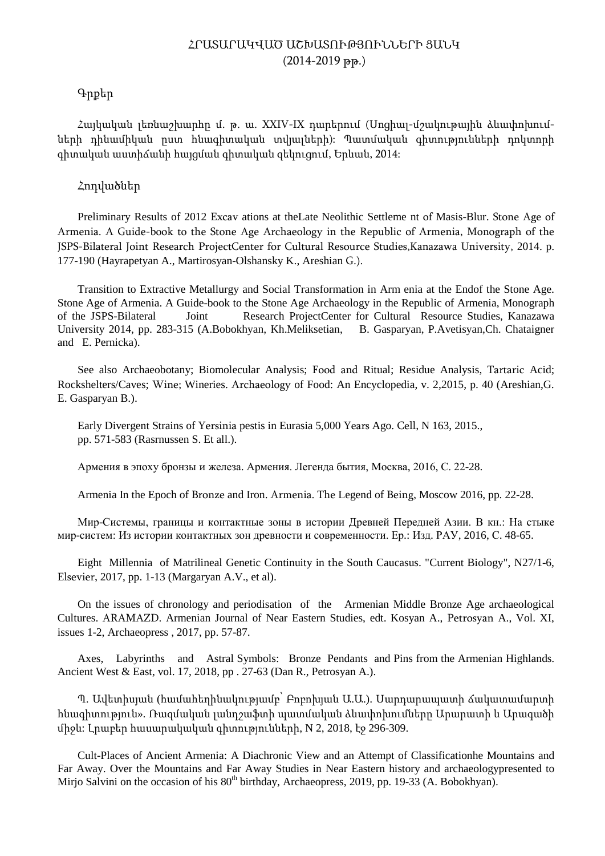# ՀՐԱՏԱՐԱԿՎԱԾ ԱՇԽԱՏՈՒԹՅՈՒՆՆԵՐԻ ՑԱՆԿ (2014-2019 թթ.)

## Գրքեր

Հայկական լեռնաշխարհը մ. թ. ա. XXIV-IX դարերում (Սոցիալ-մշակութային ձևափոխումների դինամիկան ըստ հնագիտական տվյալների): Պատմական գիտությունների դոկտորի գիտական աստիճանի հայցման գիտական զեկուցում, Երևան, 2014:

## Հոդվածներ

Preliminary Results of 2012 Excav ations at theLate Neolithic Settleme nt of Masis-Blur. Stone Age of Armenia. A Guide-book to the Stone Age Archaeology in the Republic of Armenia, Monograph of the JSPS-Bilateral Joint Research ProjectCenter for Cultural Resource Studies,Kanazawa University, 2014. p. 177-190 (Hayrapetyan A., Martirosyan-Olshansky K., Areshian G.).

Transition to Extractive Metallurgy and Social Transformation in Arm enia at the Endof the Stone Age. Stone Age of Armenia. A Guide-book to the Stone Age Archaeology in the Republic of Armenia, Monograph of the JSPS-Bilateral Joint Research ProjectCenter for Cultural Resource Studies, Kanazawa University 2014, pp. 283-315 (A.Bobokhyan, Kh.Meliksetian, B. Gasparyan, P.Avetisyan,Ch. Chataigner and E. Pernicka).

See also Archaeobotany; Biomolecular Analysis; Food and Ritual; Residue Analysis, Tartaric Acid; Rockshelters/Caves; Wine; Wineries. Archaeology of Food: An Encyclopedia, v. 2,2015, p. 40 (Areshian,G. E. Gasparyan B.).

Early Divergent Strains of Yersinia pestis in Eurasia 5,000 Years Ago. Cell, N 163, 2015., pp. 571-583 (Rasrnussen S. Et all.).

Армения в эпоху бронзы и железа. Армения. Легенда бытия, Москва, 2016, С. 22-28.

Armenia In the Epoch of Bronze and Iron. Armenia. The Legend of Being, Moscow 2016, pp. 22-28.

Мир-Системы, границы и контактные зоны в истории Древней Передней Азии. В кн.: На стыке мир-систем: Из истории контактных зон древности и современности. Ер.: Изд. РАУ, 2016, С. 48-65.

Eight Millennia of Matrilineal Genetic Continuity in the South Caucasus. "Current Biology", N27/1-6, Elsevier, 2017, pp. 1-13 (Margaryan A.V., et al).

On the issues of chronology and periodisation of the Armenian Middle Bronze Age archaeological Cultures. ARAMAZD. Armenian Journal of Near Eastern Studies, edt. Kosyan A., Petrosyan A., Vol. XI, issues 1-2, Archaeopress , 2017, pp. 57-87.

Axes, Labyrinths and Astral Symbols: Bronze Pendants and Pins from the Armenian Highlands. Ancient West & East, vol. 17, 2018, pp . 27-63 (Dan R., Petrosyan A.).

Պ. Ավետիսյան (համահեղինակությամբ՝ Բոբոխյան Ա.Ա.). Սարդարապատի ճակատամարտի հնագիտություն». Ռազմական լանդշաֆտի պատմական ձևափոխումները Արարատի և Արագածի միջև: Լրաբեր հասարակական գիտությունների, N 2, 2018, էջ 296-309.

Cult-Places of Ancient Armenia: A Diachronic View and an Attempt of Classificationhe Mountains and Far Away. Over the Mountains and Far Away Studies in Near Eastern history and archaeologypresented to Mirjo Salvini on the occasion of his 80<sup>th</sup> birthday, Archaeopress, 2019, pp. 19-33 (A. Bobokhyan).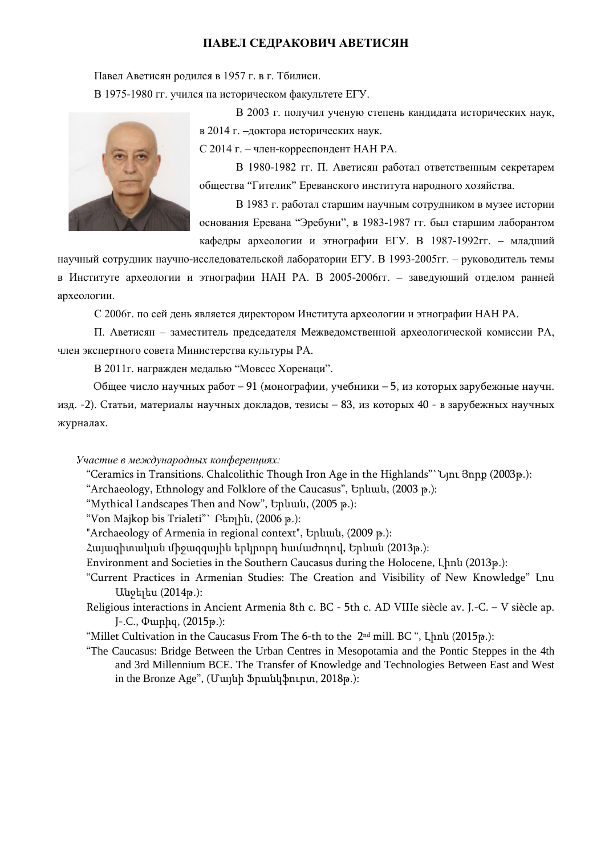## **ПАВЕЛ СЕДРАКОВИЧ АВЕТИСЯН**

Павел Аветисян родился в 1957 г. в г. Тбилиси.

В 1975-1980 гг. учился на историческом факультете ЕГУ.

В 2003 г. получил ученую степень кандидата исторических наук, в 2014 г. –доктора исторических наук.

С 2014 г. – член-корреспондент НАН РА.

В 1980-1982 гг. П. Аветисян работал ответственным секретарем общества "Гителик" Ереванского института народного хозяйства.

В 1983 г. работал старшим научным сотрудником в музее истории основания Еревана "Эребуни", в 1983-1987 гг. был старшим лаборантом кафедры археологии и этнографии ЕГУ. В 1987-1992гг. – младший

научный сотрудник научно-исследовательской лаборатории ЕГУ. В 1993-2005гг. – руководитель темы в Институте археологии и этнографии НАН РА. В 2005-2006гг. – заведующий отделом ранней археологии.

С 2006г. по сей день является директором Института археологии и этнографии НАН РА.

П. Аветисян – заместитель председателя Межведомственной археологической комиссии РА, член экспертного совета Министерства культуры РА.

В 2011г. награжден медалью "Мовсес Хоренаци".

Общее число научных работ – 91 (монографии, учебники – 5, из которых зарубежные научн.

изд. -2). Статьи, материалы научных докладов, тезисы – 83, из которых 40 - в зарубежных научных журналах.

*Участие в международных конференциях:*

"Ceramics in Transitions. Chalcolithic Though Iron Age in the Highlands"`Նյու Յորք (2003թ.):

"Archaeology, Ethnology and Folklore of the Caucasus", Երևան, (2003 թ.):

"Mythical Landscapes Then and Now", Երևան, (2005 թ.):

"Von Majkop bis Trialeti"` Բեռլին, (2006 թ.):

"Archaeology of Armenia in regional context", Երևան, (2009 թ.):

Հայագիտական միջազգային երկրորդ համաժողով, Երևան (2013թ.):

Environment and Societies in the Southern Caucasus during the Holocene, Լիոն (2013թ.):

"Current Practices in Armenian Studies: The Creation and Visibility of New Knowledge" Լոս Անջելես (2014թ.):

Religious interactions in Ancient Armenia 8th c. BC - 5th c. AD VIIIe siècle av. J.-C. – V siècle ap. J-.C., Փարիզ, (2015թ.):

"Millet Cultivation in the Caucasus From The 6-th to the 2nd mill. BC ", Լիոն (2015թ.):

"The Caucasus: Bridge Between the Urban Centres in Mesopotamia and the Pontic Steppes in the 4th and 3rd Millennium BCE. The Transfer of Knowledge and Technologies Between East and West in the Bronze Age", (Մայնի Ֆրանկֆուրտ, 2018թ.):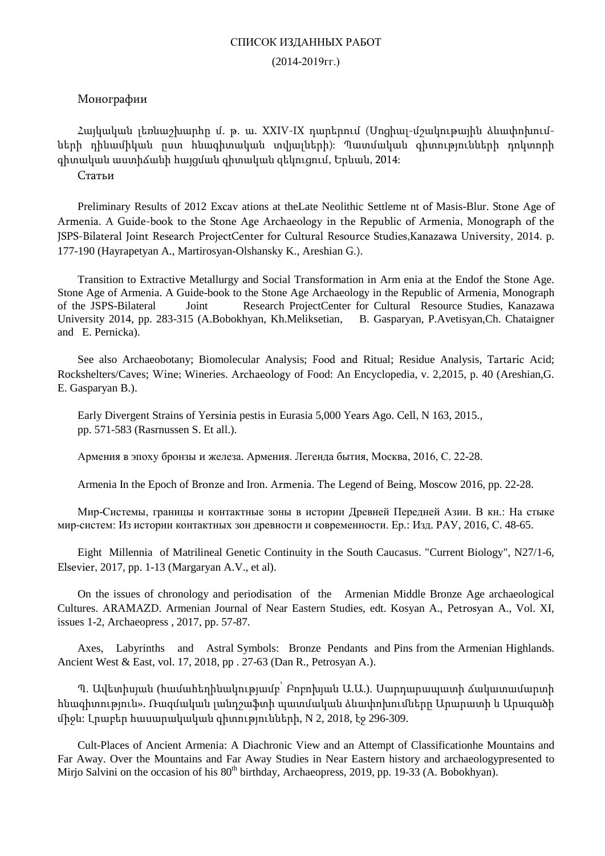#### СПИСОК ИЗДАННЫХ РАБОТ

#### (2014-2019гг.)

## Монографии

Հայկական լեռնաշխարհը մ. թ. ա. XXIV-IX դարերում (Սոցիալ-մշակութային ձևափոխումների դինամիկան ըստ հնագիտական տվյալների): Պատմական գիտությունների դոկտորի գիտական աստիճանի հայցման գիտական զեկուցում, Երևան, 2014:

Статьи

Preliminary Results of 2012 Excav ations at theLate Neolithic Settleme nt of Masis-Blur. Stone Age of Armenia. A Guide-book to the Stone Age Archaeology in the Republic of Armenia, Monograph of the JSPS-Bilateral Joint Research ProjectCenter for Cultural Resource Studies,Kanazawa University, 2014. p. 177-190 (Hayrapetyan A., Martirosyan-Olshansky K., Areshian G.).

Transition to Extractive Metallurgy and Social Transformation in Arm enia at the Endof the Stone Age. Stone Age of Armenia. A Guide-book to the Stone Age Archaeology in the Republic of Armenia, Monograph of the JSPS-Bilateral Joint Research ProjectCenter for Cultural Resource Studies, Kanazawa University 2014, pp. 283-315 (A.Bobokhyan, Kh.Meliksetian, B. Gasparyan, P.Avetisyan,Ch. Chataigner and E. Pernicka).

See also Archaeobotany; Biomolecular Analysis; Food and Ritual; Residue Analysis, Tartaric Acid; Rockshelters/Caves; Wine; Wineries. Archaeology of Food: An Encyclopedia, v. 2,2015, p. 40 (Areshian,G. E. Gasparyan B.).

Early Divergent Strains of Yersinia pestis in Eurasia 5,000 Years Ago. Cell, N 163, 2015., pp. 571-583 (Rasrnussen S. Et all.).

Армения в эпоху бронзы и железа. Армения. Легенда бытия, Москва, 2016, С. 22-28.

Armenia In the Epoch of Bronze and Iron. Armenia. The Legend of Being, Moscow 2016, pp. 22-28.

Мир-Системы, границы и контактные зоны в истории Древней Передней Азии. В кн.: На стыке мир-систем: Из истории контактных зон древности и современности. Ер.: Изд. РАУ, 2016, С. 48-65.

Eight Millennia of Matrilineal Genetic Continuity in the South Caucasus. "Current Biology", N27/1-6, Elsevier, 2017, pp. 1-13 (Margaryan A.V., et al).

On the issues of chronology and periodisation of the Armenian Middle Bronze Age archaeological Cultures. ARAMAZD. Armenian Journal of Near Eastern Studies, edt. Kosyan A., Petrosyan A., Vol. XI, issues 1-2, Archaeopress , 2017, pp. 57-87.

Axes, Labyrinths and Astral Symbols: Bronze Pendants and Pins from the Armenian Highlands. Ancient West & East, vol. 17, 2018, pp . 27-63 (Dan R., Petrosyan A.).

Պ. Ավետիսյան (համահեղինակությամբ՝ Բոբոխյան Ա.Ա.). Սարդարապատի ճակատամարտի հնագիտություն». Ռազմական լանդշաֆտի պատմական ձևափոխումները Արարատի և Արագածի միջև: Լրաբեր հասարակական գիտությունների, N 2, 2018, էջ 296-309.

Cult-Places of Ancient Armenia: A Diachronic View and an Attempt of Classificationhe Mountains and Far Away. Over the Mountains and Far Away Studies in Near Eastern history and archaeologypresented to Mirjo Salvini on the occasion of his 80<sup>th</sup> birthday, Archaeopress, 2019, pp. 19-33 (A. Bobokhyan).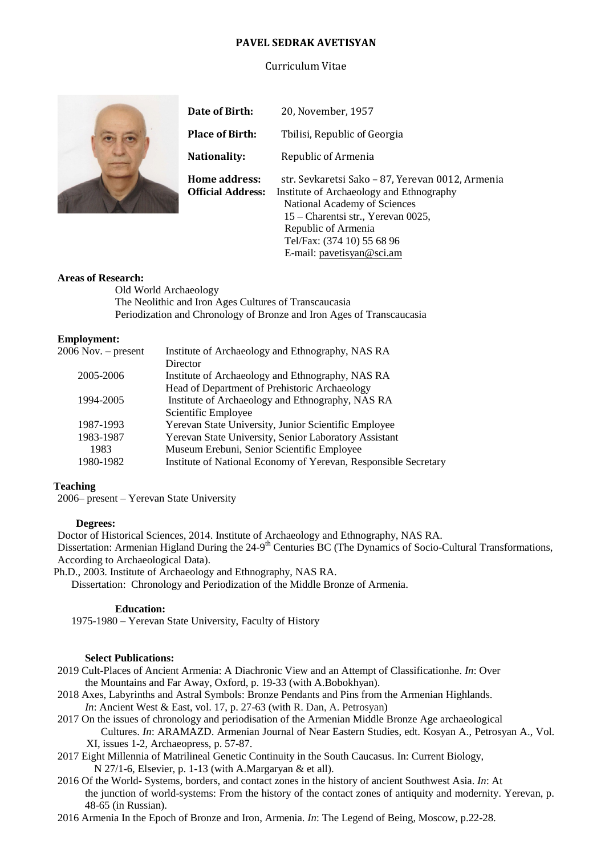#### **PAVEL SEDRAK AVETISYAN**

#### Curriculum Vitae



| Date of Birth:                            | 20, November, 1957                                                                                                                                                                                                                                   |
|-------------------------------------------|------------------------------------------------------------------------------------------------------------------------------------------------------------------------------------------------------------------------------------------------------|
| <b>Place of Birth:</b>                    | Tbilisi, Republic of Georgia                                                                                                                                                                                                                         |
| Nationality:                              | Republic of Armenia                                                                                                                                                                                                                                  |
| Home address:<br><b>Official Address:</b> | str. Sevkaretsi Sako - 87, Yerevan 0012, Armenia<br>Institute of Archaeology and Ethnography<br>National Academy of Sciences<br>15 – Charentsi str., Yerevan 0025,<br>Republic of Armenia<br>Tel/Fax: (374 10) 55 68 96<br>E-mail: pavetisyan@sci.am |

#### **Areas of Research:**

Old World Archaeology The Neolithic and Iron Ages Cultures of Transcaucasia Periodization and Chronology of Bronze and Iron Ages of Transcaucasia

#### **Employment:**

| $2006$ Nov. $-$ present | Institute of Archaeology and Ethnography, NAS RA                |
|-------------------------|-----------------------------------------------------------------|
|                         | Director                                                        |
| 2005-2006               | Institute of Archaeology and Ethnography, NAS RA                |
|                         | Head of Department of Prehistoric Archaeology                   |
| 1994-2005               | Institute of Archaeology and Ethnography, NAS RA                |
|                         | Scientific Employee                                             |
| 1987-1993               | Yerevan State University, Junior Scientific Employee            |
| 1983-1987               | Yerevan State University, Senior Laboratory Assistant           |
| 1983                    | Museum Erebuni, Senior Scientific Employee                      |
| 1980-1982               | Institute of National Economy of Yerevan, Responsible Secretary |
|                         |                                                                 |

#### **Teaching**

2006– present – Yerevan State University

#### **Degrees:**

Doctor of Historical Sciences, 2014. Institute of Archaeology and Ethnography, NAS RA. Dissertation: Armenian Higland During the 24-9<sup>th</sup> Centuries BC (The Dynamics of Socio-Cultural Transformations, According to Archaeological Data).

Ph.D., 2003. Institute of Archaeology and Ethnography, NAS RA.

Dissertation: Chronology and Periodization of the Middle Bronze of Armenia.

#### **Education:**

1975-1980 – Yerevan State University, Faculty of History

#### **Select Publications:**

- 2019 Cult-Places of Ancient Armenia: A Diachronic View and an Attempt of Classificationhe. *In*: Over the Mountains and Far Away, Oxford, p. 19-33 (with A.Bobokhyan).
- 2018 Axes, Labyrinths and Astral Symbols: Bronze Pendants and Pins from the Armenian Highlands. *In*: Ancient West & East, vol. 17, p. 27-63 (with R. Dan, A. Petrosyan)
- 2017 On the issues of chronology and periodisation of the Armenian Middle Bronze Age archaeological Cultures. *In*: ARAMAZD. Armenian Journal of Near Eastern Studies, edt. Kosyan A., Petrosyan A., Vol. XI, issues 1-2, Archaeopress, p. 57-87.
- 2017 Eight Millennia of Matrilineal Genetic Continuity in the South Caucasus. In: Current Biology, N 27/1-6, Elsevier, p. 1-13 (with A.Margaryan & et all).
- 2016 Of the World- Systems, borders, and contact zones in the history of ancient Southwest Asia. *In*: At the junction of world-systems: From the history of the contact zones of antiquity and modernity. Yerevan, p. 48-65 (in Russian).
- 2016 Armenia In the Epoch of Bronze and Iron, Armenia. *In*: The Legend of Being, Moscow, p.22-28.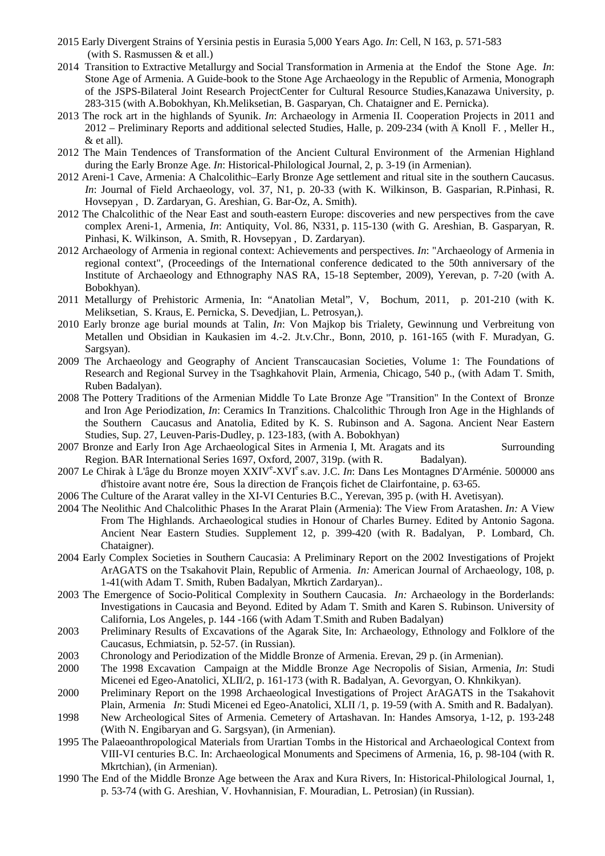- 2015 [Early Divergent Strains of Yersinia pestis in Eurasia 5,000 Years Ago.](http://www.sciencedirect.com/science/article/pii/S0092867415013227) *In*: Cell, N 163, p. 571-583 (with S. Rasmussen & et all.)
- 2014 Transition to Extractive Metallurgy and Social Transformation in Armenia at the Endof the Stone Age. *In*: Stone Age of Armenia. A Guide-book to the Stone Age Archaeology in the Republic of Armenia, Monograph of the JSPS-Bilateral Joint Research ProjectCenter for Cultural Resource Studies,Kanazawa University, p. 283-315 (with A.Bobokhyan, Kh.Meliksetian, B. Gasparyan, Ch. Chataigner and E. Pernicka).
- 2013 The rock art in the highlands of Syunik. *In*: Archaeology in Armenia II. Cooperation Projects in 2011 and 2012 – Preliminary Reports and additional selected Studies, Halle, p. 209-234 (with A Knoll F. , Meller H., & et all).
- 2012 The Main Tendences of Transformation of the Ancient Cultural Environment of the Armenian Highland during the Early Bronze Age. *In*: Historical-Philological Journal, 2, p. 3-19 (in Armenian).
- 2012 Areni-1 Cave, Armenia: A Chalcolithic–Early Bronze Age settlement and ritual site in the southern Caucasus. *In*: Journal of Field Archaeology, vol. 37, N1, p. 20-33 (with K. Wilkinson, B. Gasparian, R.Pinhasi, R. Hovsepyan , D. Zardaryan, G. Areshian, G. Bar-Oz, A. Smith).
- 2012 The Chalcolithic of the Near East and south-eastern Europe: discoveries and new perspectives from the cave complex Areni-1, Armenia, *In*: Antiquity, Vol. 86, N331, p. 115-130 (with G. Areshian, B. Gasparyan, R. Pinhasi, K. Wilkinson, A. Smith, R. Hovsepyan , D. Zardaryan).
- 2012 Archaeology of Armenia in regional context: Achievements and perspectives. *In*: "Archaeology of Armenia in regional context", (Proceedings of the International conference dedicated to the 50th anniversary of the Institute of Archaeology and Ethnography NAS RA, 15-18 September, 2009), Yerevan, p. 7-20 (with A. Bobokhyan).
- 2011 Metallurgy of Prehistoric Armenia, In: "Anatolian Metal", V, Bochum, 2011, p. 201-210 (with K. Meliksetian, S. Kraus, E. Pernicka, S. Devedjian, L. Petrosyan,).
- 2010 Early bronze age burial mounds at Talin, *In*: Von Majkop bis Trialety, Gewinnung und Verbreitung von Metallen und Obsidian in Kaukasien im 4.-2. Jt.v.Chr., Bonn, 2010, p. 161-165 (with F. Muradyan, G. Sargsyan).
- 2009 The Archaeology and Geography of Ancient Transcaucasian Societies, Volume 1: The Foundations of Research and Regional Survey in the Tsaghkahovit Plain, Armenia, Chicago, 540 p., (with Adam T. Smith, Ruben Badalyan).
- 2008 The Pottery Traditions of the Armenian Middle To Late Bronze Age "Transition" In the Context of Bronze and Iron Age Periodization, *In*: Ceramics In Tranzitions. Chalcolithic Through Iron Age in the Highlands of the Southern Caucasus and Anatolia, Edited by K. S. Rubinson and A. Sagona. Ancient Near Eastern Studies, Sup. 27, Leuven-Paris-Dudley, p. 123-183, (with A. Bobokhyan)
- 2007 Bronze and Early Iron Age Archaeological Sites in Armenia I, Mt. Aragats and its Surrounding Region. BAR International Series 1697, Oxford, 2007, 319p. (with R. Badalyan).
- 2007 Le Chirak à L'âge du Bronze moyen XXIV<sup>e</sup>-XVI<sup>e</sup> s.av. J.C. *In*: Dans Les Montagnes D'Arménie. 500000 ans d'histoire avant notre ére, Sous la direction de François fichet de Clairfontaine, p. 63-65.
- 2006 The Culture of the Ararat valley in the XI-VI Centuries B.C., Yerevan, 395 p. (with H. Avetisyan).
- 2004 The Neolithic And Chalcolithic Phases In the Ararat Plain (Armenia): The View From Aratashen. *In:* A View From The Highlands. Archaeological studies in Honour of Charles Burney. Edited by Antonio Sagona. Ancient Near Eastern Studies. Supplement 12, p. 399-420 (with R. Badalyan, P. Lombard, Ch. Chataigner).
- 2004 Early Complex Societies in Southern Caucasia: A Preliminary Report on the 2002 Investigations of Projekt ArAGATS on the Tsakahovit Plain, Republic of Armenia. *In:* American Journal of Archaeology, 108, p. 1-41(with Adam T. Smith, Ruben Badalyan, Mkrtich Zardaryan)..
- 2003 The Emergence of Socio-Political Complexity in Southern Caucasia. *In:* Archaeology in the Borderlands: Investigations in Caucasia and Beyond. Edited by Adam T. Smith and Karen S. Rubinson. University of California, Los Angeles, p. 144 -166 (with Adam T.Smith and Ruben Badalyan)
- 2003 Preliminary Results of Excavations of the Agarak Site, In: Archaeology, Ethnology and Folklore of the Caucasus, Echmiatsin, p. 52-57. (in Russian).
- 2003 Chronology and Periodization of the Middle Bronze of Armenia. Erevan, 29 p. (in Armenian).
- 2000 The 1998 Excavation Campaign at the Middle Bronze Age Necropolis of Sisian, Armenia, *In*: Studi Micenei ed Egeo-Anatolici, XLII/2, p. 161-173 (with R. Badalyan, A. Gevorgyan, O. Khnkikyan).
- 2000 Preliminary Report on the 1998 Archaeological Investigations of Project ArAGATS in the Tsakahovit Plain, Armenia *In*: Studi Micenei ed Egeo-Anatolici, XLII /1, p. 19-59 (with A. Smith and R. Badalyan).
- 1998 New Archeological Sites of Armenia. Cemetery of Artashavan. In: Handes Amsorya, 1-12, p. 193-248 (With N. Engibaryan and G. Sargsyan), (in Armenian).
- 1995 The Palaeoanthropological Materials from Urartian Tombs in the Historical and Archaeological Context from VIII-VI centuries B.C. In: Archaeological Monuments and Specimens of Armenia, 16, p. 98-104 (with R. Mkrtchian), (in Armenian).
- 1990 The End of the Middle Bronze Age between the Arax and Kura Rivers, In: Historical-Philological Journal, 1, p. 53-74 (with G. Areshian, V. Hovhannisian, F. Mouradian, L. Petrosian) (in Russian).